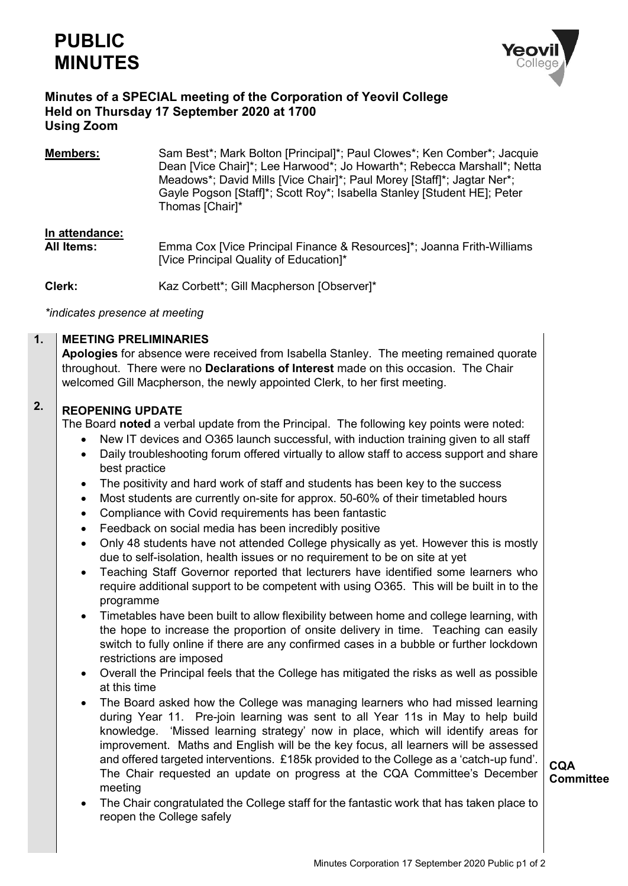

#### **Minutes of a SPECIAL meeting of the Corporation of Yeovil College Held on Thursday 17 September 2020 at 1700 Using Zoom**

**Members:** Sam Best\*; Mark Bolton [Principal]\*; Paul Clowes\*; Ken Comber\*; Jacquie Dean [Vice Chair]\*; Lee Harwood\*; Jo Howarth\*; Rebecca Marshall\*; Netta Meadows\*; David Mills [Vice Chair]\*; Paul Morey [Staff]\*; Jagtar Ner\*; Gayle Pogson [Staff]\*; Scott Roy\*; Isabella Stanley [Student HE]; Peter Thomas [Chair]\*

# **In attendance:**

**All Items:** Emma Cox [Vice Principal Finance & Resources]\*; Joanna Frith-Williams [Vice Principal Quality of Education]\*

**Clerk:** Kaz Corbett\*; Gill Macpherson [Observer]\*

*\*indicates presence at meeting*

#### **1. MEETING PRELIMINARIES**

**Apologies** for absence were received from Isabella Stanley. The meeting remained quorate throughout. There were no **Declarations of Interest** made on this occasion. The Chair welcomed Gill Macpherson, the newly appointed Clerk, to her first meeting.

#### **2. REOPENING UPDATE**

The Board **noted** a verbal update from the Principal. The following key points were noted:

- New IT devices and O365 launch successful, with induction training given to all staff
- Daily troubleshooting forum offered virtually to allow staff to access support and share best practice
- The positivity and hard work of staff and students has been key to the success
- Most students are currently on-site for approx. 50-60% of their timetabled hours
- Compliance with Covid requirements has been fantastic
- Feedback on social media has been incredibly positive
- Only 48 students have not attended College physically as yet. However this is mostly due to self-isolation, health issues or no requirement to be on site at yet
- Teaching Staff Governor reported that lecturers have identified some learners who require additional support to be competent with using O365. This will be built in to the programme
- Timetables have been built to allow flexibility between home and college learning, with the hope to increase the proportion of onsite delivery in time. Teaching can easily switch to fully online if there are any confirmed cases in a bubble or further lockdown restrictions are imposed
- Overall the Principal feels that the College has mitigated the risks as well as possible at this time
- The Board asked how the College was managing learners who had missed learning during Year 11. Pre-join learning was sent to all Year 11s in May to help build knowledge. 'Missed learning strategy' now in place, which will identify areas for improvement. Maths and English will be the key focus, all learners will be assessed and offered targeted interventions. £185k provided to the College as a 'catch-up fund'. The Chair requested an update on progress at the CQA Committee's December meeting
- The Chair congratulated the College staff for the fantastic work that has taken place to reopen the College safely

**CQA Committee**